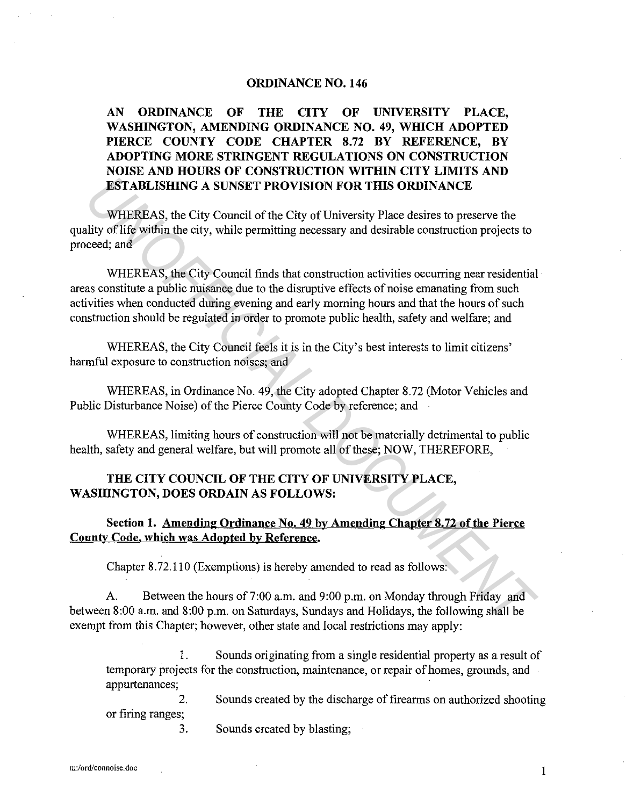#### **ORDINANCE NO. 146**

## **AN ORDINANCE OF THE CITY OF UNIVERSITY PLACE, WASHINGTON, AMENDING ORDINANCE NO. 49, WHICH ADOPTED PIERCE COUNTY CODE CHAPTER 8.72 BY REFERENCE, BY ADOPTING MORE STRINGENT REGULATIONS ON CONSTRUCTION NOISE AND HOURS OF CONSTRUCTION WITHIN CITY LIMITS AND ESTABLISHING A SUNSET PROVISION FOR THIS ORDINANCE**

WHEREAS, the City Council of the City of University Place desires to preserve the quality of life within the city, while permitting necessary and desirable construction projects to proceed; and

WHEREAS, the City Council finds that construction activities occurring near residential areas constitute a public nuisance due to the disruptive effects of noise emanating from such activities when conducted during evening and early morning hours and that the hours of such construction should be regulated in order to promote public health, safety and welfare; and **ESTABLISHING A SUNSET PROVISION FOR THIS ORDINANCE<br>
WHEREAS, the City Council of the City of University Place desires to preserve the<br>
dity of life within the city, while permitting necessary and desirable construction pr** 

WHEREAS, the City Council feels it is in the City's best interests to limit citizens' harmful exposure to construction noises; and

WHEREAS, in Ordinance No. 49, the City adopted Chapter 8.72 (Motor Vehicles and Public Disturbance Noise) of the Pierce County Code by reference; and

WHEREAS, limiting hours of construction will not be materially detrimental to public health, safety and general welfare, but will promote all of these; NOW, THEREFORE,

## **THE CITY COUNCIL OF THE CITY OF UNIVERSITY PLACE, WASHING TON, DOES ORDAIN AS FOLLOWS:**

## **Section 1. Amending Ordinance No. 49 by Amending Chapter 8.72 of the Pierce County Code. which was Adopted by Reference.**

Chapter 8.72.110 (Exemptions) is hereby amended to read as follows:

A. Between the hours of 7:00 a.m. and 9:00 p.m. on Monday through Friday and between 8:00 a.m. and 8:00 p.m. on Saturdays, Sundays and Holidays, the following shall be exempt from this Chapter; however, other state and local restrictions may apply:

1. Sounds originating from a single residential property as a result of temporary projects for the construction, maintenance, or repair of homes, grounds, and appurtenances;

2. or firing ranges; 3. Sounds created by the discharge of firearms on authorized shooting

Sounds created by blasting;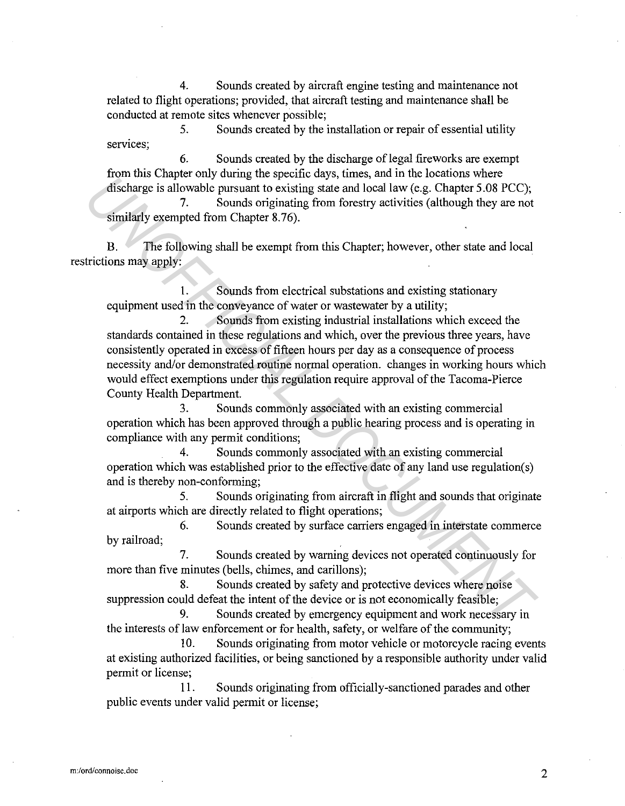4. Sounds created by aircraft engine testing and maintenance not related to flight operations; provided, that aircraft testing and maintenance shall be conducted at remote sites whenever possible;

5. Sounds created by the installation or repair of essential utility services;

6. Sounds created by the discharge of legal fireworks are exempt from this Chapter only during the specific days, times, and in the locations where discharge is allowable pursuant to existing state and local law (e.g. Chapter 5.08 PCC);

7. Sounds originating from forestry activities (although they are not similarly exempted from Chapter 8.76).

B. The following shall be exempt from this Chapter; however, other state and local restrictions may apply:

1. Sounds from electrical substations and existing stationary equipment used in the conveyance of water or wastewater by a utility;

2. Sounds from existing industrial installations which exceed the standards contained in these regulations and which, over the previous three years, have consistently operated in excess of fifteen hours per day as a consequence of process necessity and/or demonstrated routine normal operation. changes in working hours which would effect exemptions under this regulation require approval of the Tacoma-Pierce County Health Department. *Uncertively also secure that in the beam-three systems* and in the *UNERA COUMERT SOB PCC*),<br>
7. Sounds originating from forestry activities (although they are not<br>
7. Sounds originating from forestry activities (although

3. Sounds commonly associated with an existing commercial operation which has been approved through a public hearing process and is operating in compliance with any permit conditions;

4. Sounds commonly associated with an existing commercial operation which was established prior to the effective date of any land use regulation( s) and is thereby non-conforming;

5. Sounds originating from aircraft in flight and sounds that originate at airports which are directly related to flight operations;

6. Sounds created by surface carriers engaged in interstate commerce by railroad;

7. Sounds created by warning devices not operated continuously for more than five minutes (bells, chimes, and carillons);

8. Sounds created by safety and protective devices where noise suppression could defeat the intent of the device or is not economically feasible;

9. Sounds created by emergency equipment and work necessary in the interests of law enforcement or for health, safety, or welfare of the community;

10. Sounds originating from motor vehicle or motorcycle racing events at existing authorized facilities, or being sanctioned by a responsible authority under valid permit or license;

11. Sounds originating from officially-sanctioned parades and other public events under valid permit or license;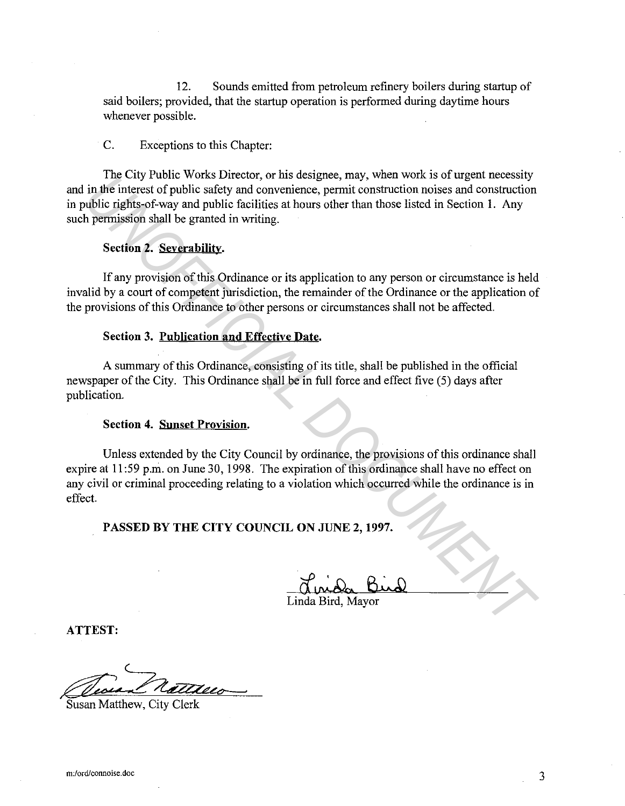12. Sounds emitted from petroleum refinery boilers during startup of said boilers; provided, that the startup operation is performed during daytime hours whenever possible.

#### C. Exceptions to this Chapter:

The City Public Works Director, or his designee, may, when work is of urgent necessity and in the interest of public safety and convenience, permit construction noises and construction in public rights-of-way and public facilities at hours other than those listed in Section 1. Any such permission shall be granted in writing.

#### **Section 2. Severability.**

If any provision of this Ordinance or its application to any person or circumstance is held invalid by a court of competent jurisdiction, the remainder of the Ordinance or the application of the provisions of this Ordinance to other persons or circumstances shall not be affected.

#### **Section 3. Publication and Effective Date.**

A summary of this Ordinance, consisting of its title, shall be published in the official newspaper of the City. This Ordinance shall be in full force and effect five (5) days after publication.

#### **Section 4. Sunset Provision.**

Unless extended by the City Council by ordinance, the provisions of this ordinance shall expire at 11:59 p.m. on June 30, 1998. The expiration of this ordinance shall have no effect on any civil or criminal proceeding relating to a violation which occurred while the ordinance is in effect. In the interval of public safety and converse correct or mass experte, may, went work is or urgent necessive<br>in the interest of public safety and convenience, permit construction noises and construction<br>while rights-of-way

**PASSED BY THE CITY COUNCIL ON JUNE 2, 1997.** 

Linda Bird, Mayor

**ATTEST:** 

Susan Matthew, City Clerk